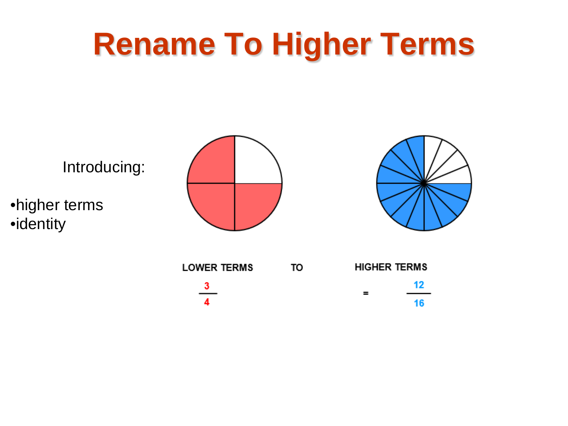

 $\frac{3}{4}$ 

| = | 12 <sup>12</sup> |
|---|------------------|
|   | 16               |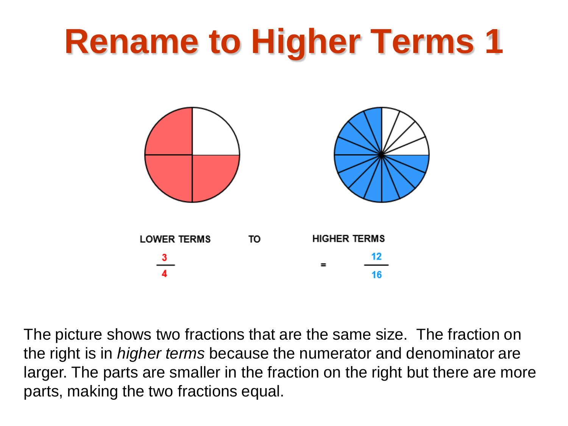

The picture shows two fractions that are the same size. The fraction on the right is in *higher terms* because the numerator and denominator are larger. The parts are smaller in the fraction on the right but there are more parts, making the two fractions equal.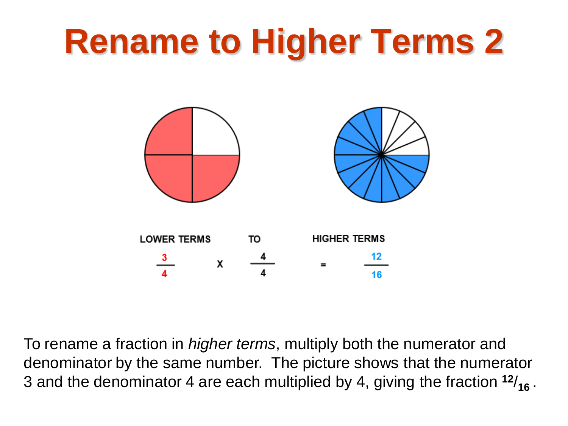

To rename a fraction in *higher terms*, multiply both the numerator and denominator by the same number. The picture shows that the numerator 3 and the denominator 4 are each multiplied by 4, giving the fraction **<sup>12</sup>**/**16** .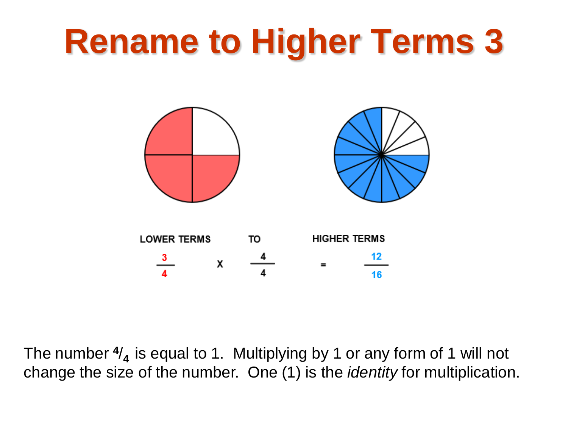

The number **<sup>4</sup>**/**4** is equal to 1. Multiplying by 1 or any form of 1 will not change the size of the number. One (1) is the *identity* for multiplication.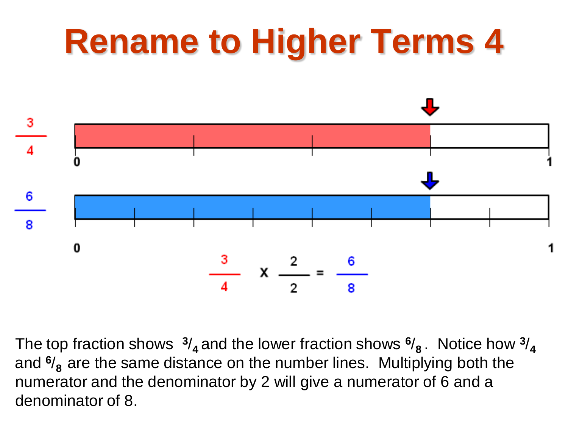

The top fraction shows  $\frac{3}{4}$  and the lower fraction shows  $\frac{6}{8}$ . Notice how  $\frac{3}{4}$ and **<sup>6</sup>**/**8** are the same distance on the number lines. Multiplying both the numerator and the denominator by 2 will give a numerator of 6 and a denominator of 8.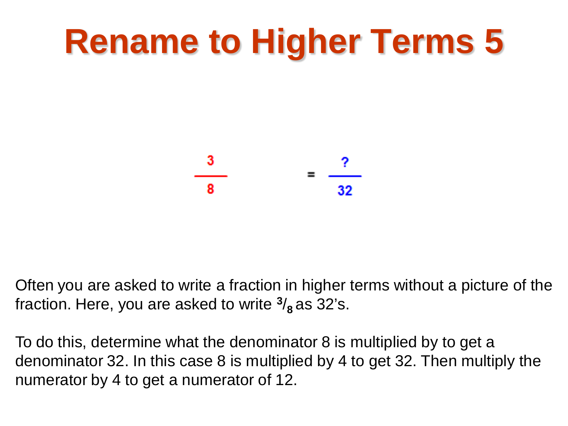

Often you are asked to write a fraction in higher terms without a picture of the fraction. Here, you are asked to write **<sup>3</sup>**/**8** as 32's.

To do this, determine what the denominator 8 is multiplied by to get a denominator 32. In this case 8 is multiplied by 4 to get 32. Then multiply the numerator by 4 to get a numerator of 12.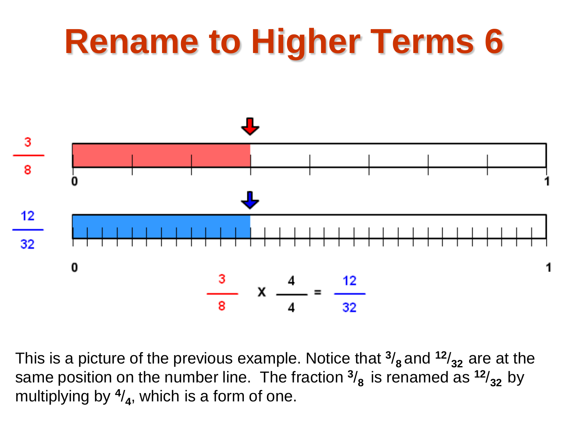

This is a picture of the previous example. Notice that **<sup>3</sup>**/**8** and **<sup>12</sup>**/**32** are at the same position on the number line. The fraction  $\frac{3}{8}$  is renamed as  $\frac{12}{32}$  by multiplying by **<sup>4</sup>**/**4**, which is a form of one.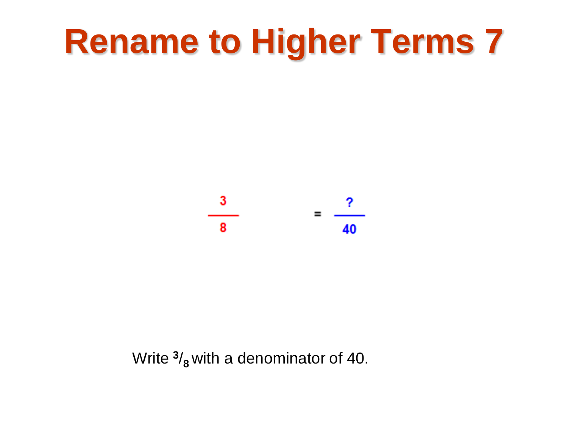

Write **<sup>3</sup>**/**8** with a denominator of 40.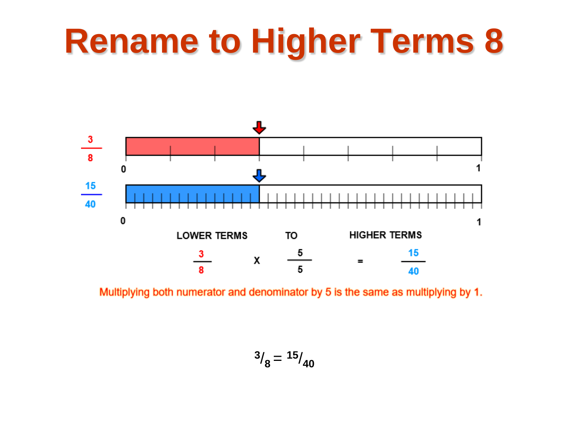

Multiplying both numerator and denominator by 5 is the same as multiplying by 1.

$$
\frac{3}{8} = \frac{15}{40}
$$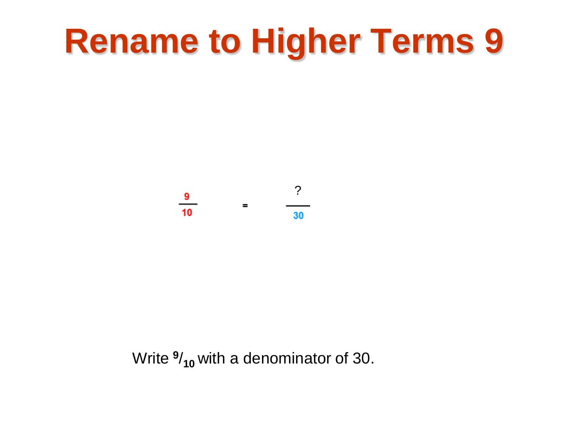? $\frac{9}{10}$  = 30

Write **<sup>9</sup>**/**10** with a denominator of 30.